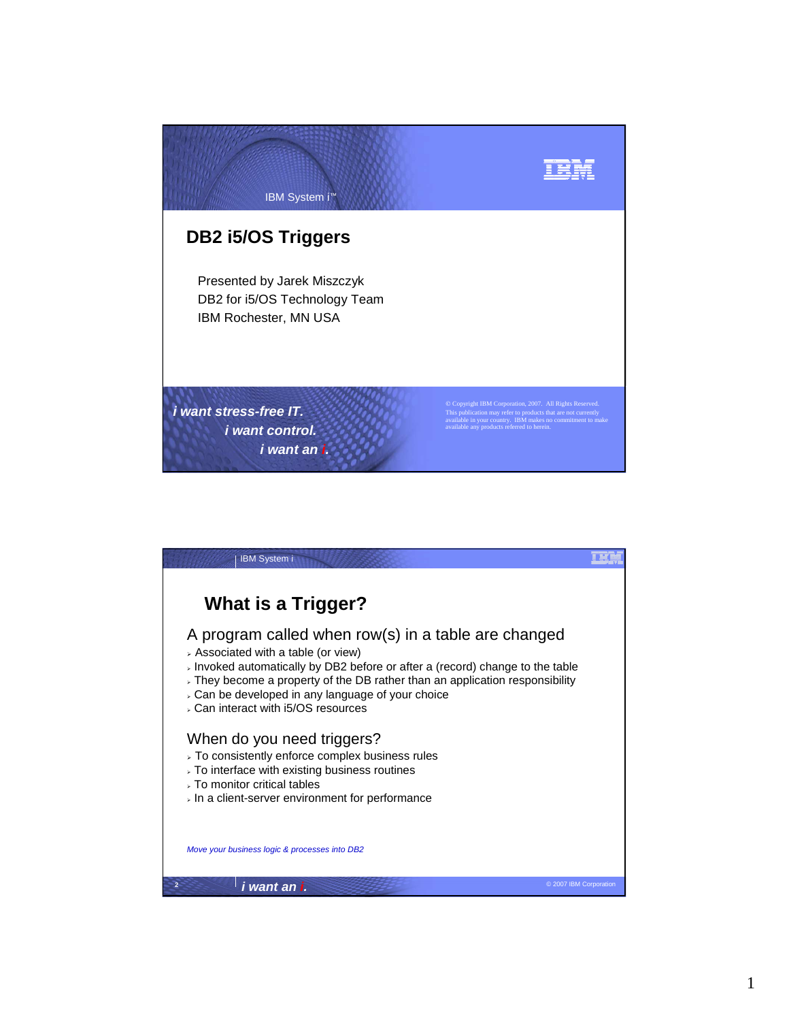

| <b>IBM System i</b>                                                                                                                                                                                                                                                                                                                                                            |  |
|--------------------------------------------------------------------------------------------------------------------------------------------------------------------------------------------------------------------------------------------------------------------------------------------------------------------------------------------------------------------------------|--|
| What is a Trigger?                                                                                                                                                                                                                                                                                                                                                             |  |
| A program called when row(s) in a table are changed<br>> Associated with a table (or view)<br>> Invoked automatically by DB2 before or after a (record) change to the table<br>$\overline{\phantom{a}}$ They become a property of the DB rather than an application responsibility<br>. Can be developed in any language of your choice<br>. Can interact with i5/OS resources |  |
| When do you need triggers?<br>> To consistently enforce complex business rules<br>$\overline{ }$ To interface with existing business routines<br>⊳ To monitor critical tables<br>$\overline{\phantom{a}}$ In a client-server environment for performance                                                                                                                       |  |
| Move your business logic & processes into DB2                                                                                                                                                                                                                                                                                                                                  |  |
| $\overline{2}$<br>i want an i.<br>© 2007 IBM Corporation                                                                                                                                                                                                                                                                                                                       |  |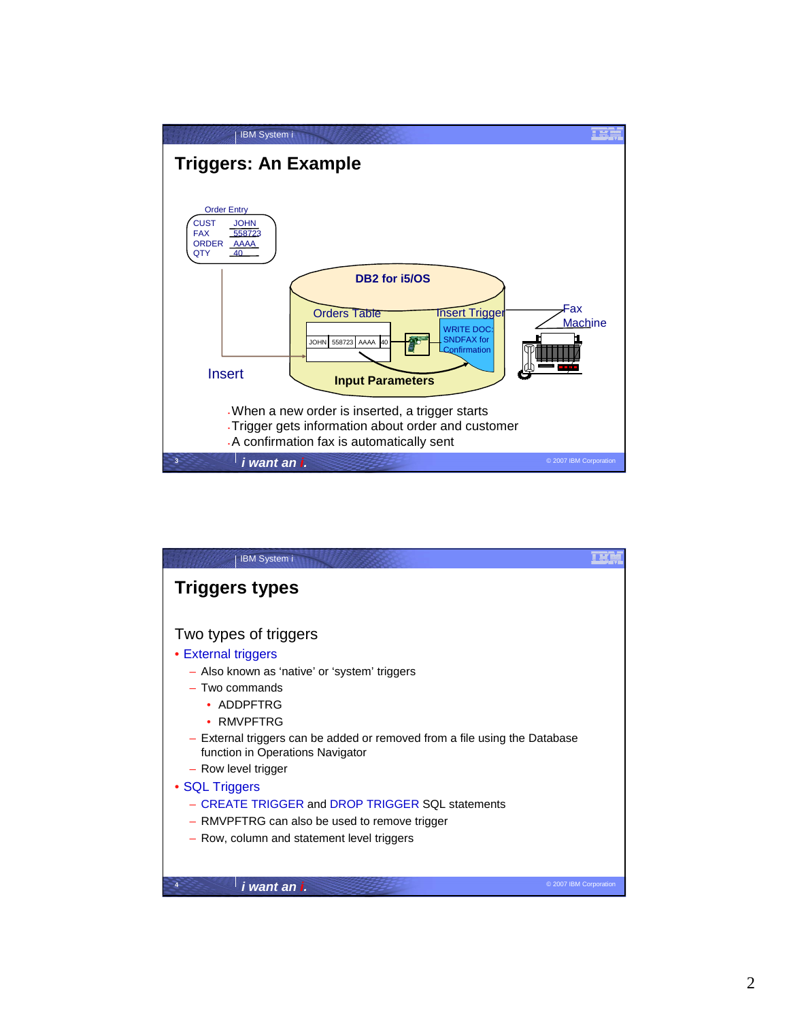

| <b>IBM System i</b>                                                                                                                                                                                                                                                                                                                                                                                                                                                         |  |
|-----------------------------------------------------------------------------------------------------------------------------------------------------------------------------------------------------------------------------------------------------------------------------------------------------------------------------------------------------------------------------------------------------------------------------------------------------------------------------|--|
| <b>Triggers types</b>                                                                                                                                                                                                                                                                                                                                                                                                                                                       |  |
| Two types of triggers<br>• External triggers<br>- Also known as 'native' or 'system' triggers<br>$-$ Two commands<br>$\bullet$ ADDPFTRG<br>$\bullet$ RMVPFTRG<br>- External triggers can be added or removed from a file using the Database<br>function in Operations Navigator<br>- Row level trigger<br>• SQL Triggers<br>- CREATE TRIGGER and DROP TRIGGER SQL statements<br>- RMVPFTRG can also be used to remove trigger<br>- Row, column and statement level triggers |  |
| i want an i.<br>© 2007 IBM Corporation                                                                                                                                                                                                                                                                                                                                                                                                                                      |  |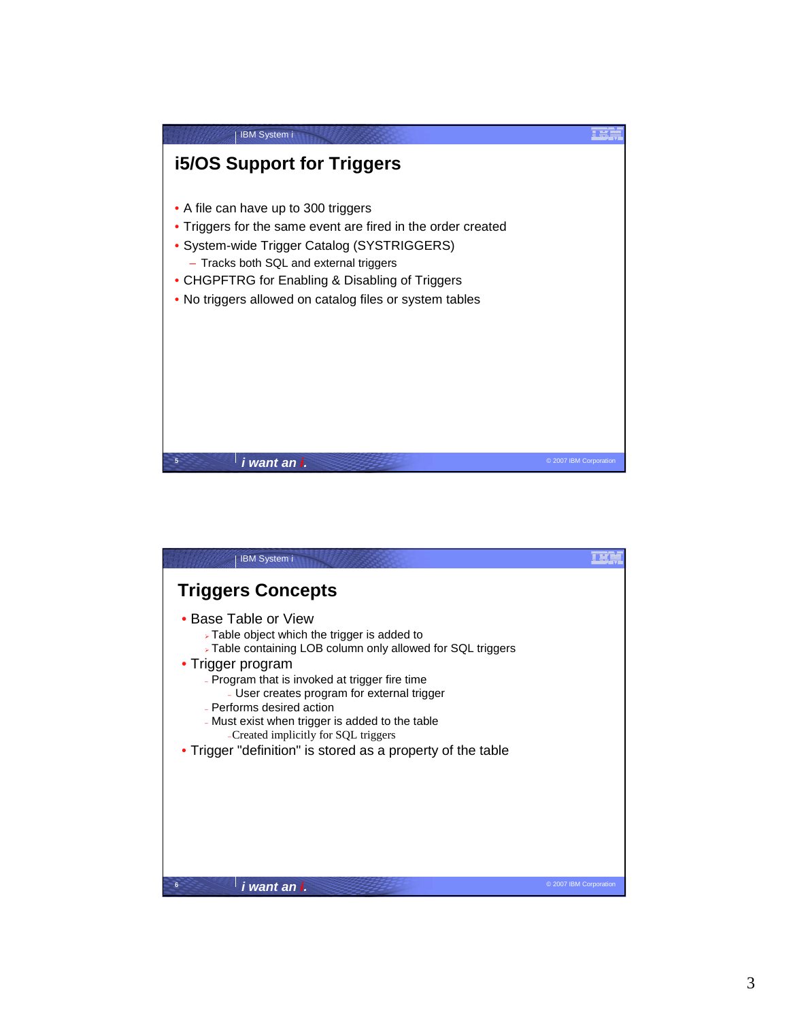

| <b>IBM System i</b>                                                                                                                                                                                                                                                                                                                                                                                                                              |                        |
|--------------------------------------------------------------------------------------------------------------------------------------------------------------------------------------------------------------------------------------------------------------------------------------------------------------------------------------------------------------------------------------------------------------------------------------------------|------------------------|
| <b>Triggers Concepts</b>                                                                                                                                                                                                                                                                                                                                                                                                                         |                        |
| • Base Table or View<br>> Table object which the trigger is added to<br>> Table containing LOB column only allowed for SQL triggers<br>• Trigger program<br>- Program that is invoked at trigger fire time<br>- User creates program for external trigger<br>- Performs desired action<br>- Must exist when trigger is added to the table<br>-Created implicitly for SQL triggers<br>• Trigger "definition" is stored as a property of the table |                        |
| 6<br>i want an i.                                                                                                                                                                                                                                                                                                                                                                                                                                | © 2007 IBM Corporation |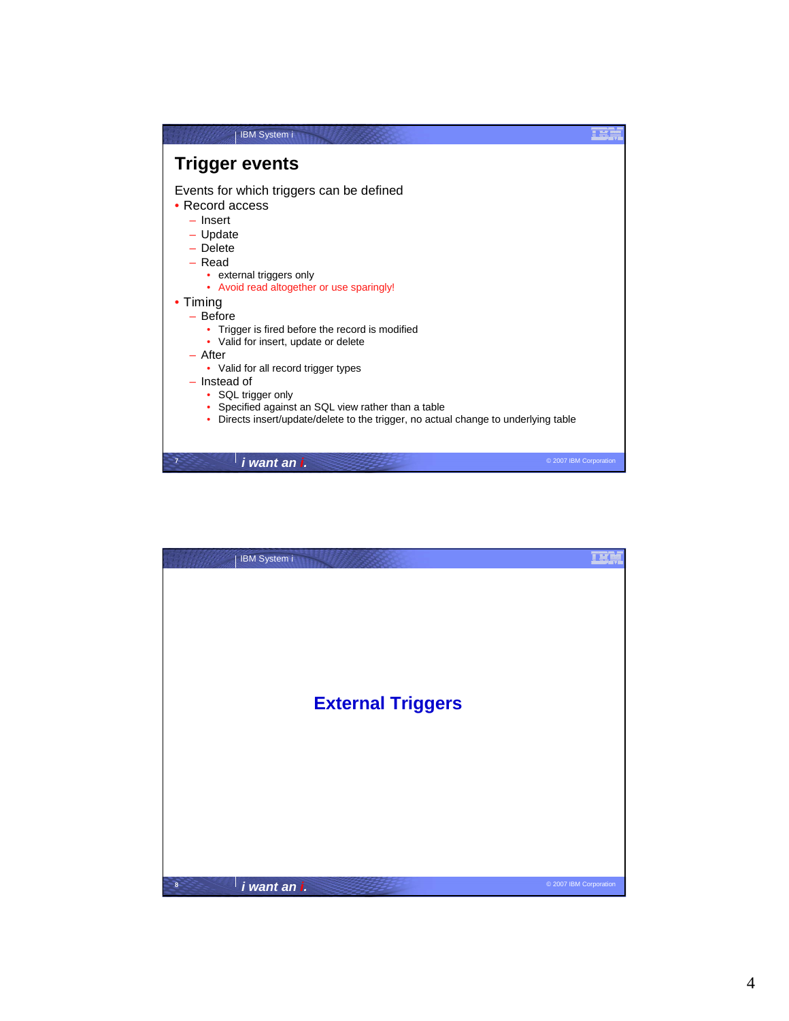| <b>IBM System i</b>                                                                                                                                                                                                                                                                                                                                                                                                                                                                                                                                            |  |
|----------------------------------------------------------------------------------------------------------------------------------------------------------------------------------------------------------------------------------------------------------------------------------------------------------------------------------------------------------------------------------------------------------------------------------------------------------------------------------------------------------------------------------------------------------------|--|
| <b>Trigger events</b>                                                                                                                                                                                                                                                                                                                                                                                                                                                                                                                                          |  |
| Events for which triggers can be defined<br>• Record access<br>$-$ lnsert<br>$-$ Update<br>$-$ Delete<br>$-$ Read<br>• external triggers only<br>• Avoid read altogether or use sparingly!<br>• Timing<br>$-$ Before<br>• Trigger is fired before the record is modified<br>• Valid for insert, update or delete<br>$-$ After<br>• Valid for all record trigger types<br>$-$ Instead of<br>• SQL trigger only<br>• Specified against an SQL view rather than a table<br>Directs insert/update/delete to the trigger, no actual change to underlying table<br>٠ |  |
| $\overline{7}$<br>© 2007 IBM Corporation<br>i want an i.                                                                                                                                                                                                                                                                                                                                                                                                                                                                                                       |  |

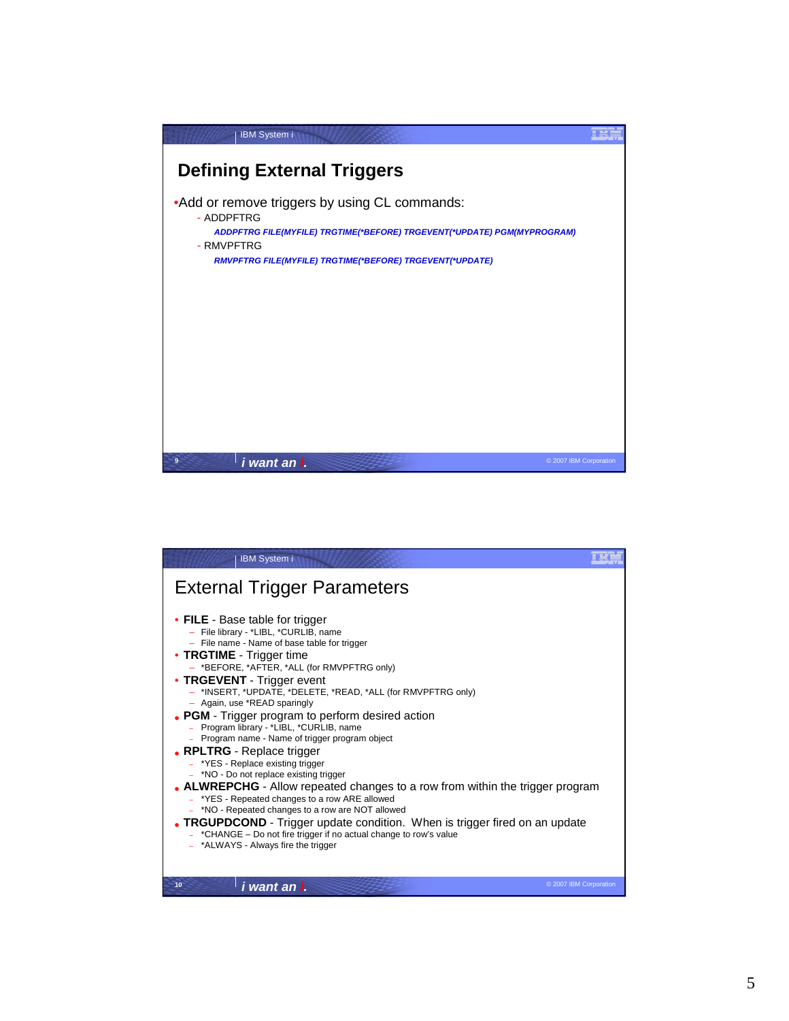

| <b>IBM System i</b>                                                                                                                                                                                                                                                                                                                                                                                                                                                                                                                                                                                                                                                                                                                                                                                                                                                                                                                                                                     |                        |
|-----------------------------------------------------------------------------------------------------------------------------------------------------------------------------------------------------------------------------------------------------------------------------------------------------------------------------------------------------------------------------------------------------------------------------------------------------------------------------------------------------------------------------------------------------------------------------------------------------------------------------------------------------------------------------------------------------------------------------------------------------------------------------------------------------------------------------------------------------------------------------------------------------------------------------------------------------------------------------------------|------------------------|
| <b>External Trigger Parameters</b>                                                                                                                                                                                                                                                                                                                                                                                                                                                                                                                                                                                                                                                                                                                                                                                                                                                                                                                                                      |                        |
| • FILE - Base table for trigger<br>- File library - *LIBL, *CURLIB, name<br>- File name - Name of base table for trigger<br>• TRGTIME - Trigger time<br>- *BEFORE, *AFTER, *ALL (for RMVPFTRG only)<br>• TRGEVENT - Trigger event<br>- *INSERT, *UPDATE, *DELETE, *READ, *ALL (for RMVPFTRG only)<br>- Again, use *READ sparingly<br>• PGM - Trigger program to perform desired action<br>- Program library - *LIBL, *CURLIB, name<br>- Program name - Name of trigger program object<br>• RPLTRG - Replace trigger<br>- *YES - Replace existing trigger<br>- *NO - Do not replace existing trigger<br>• ALWREPCHG - Allow repeated changes to a row from within the trigger program<br>- *YES - Repeated changes to a row ARE allowed<br>- *NO - Repeated changes to a row are NOT allowed<br>• TRGUPDCOND - Trigger update condition. When is trigger fired on an update<br>- *CHANGE - Do not fire trigger if no actual change to row's value<br>- *ALWAYS - Always fire the trigger |                        |
| 10<br>i want an i.                                                                                                                                                                                                                                                                                                                                                                                                                                                                                                                                                                                                                                                                                                                                                                                                                                                                                                                                                                      | © 2007 IBM Corporation |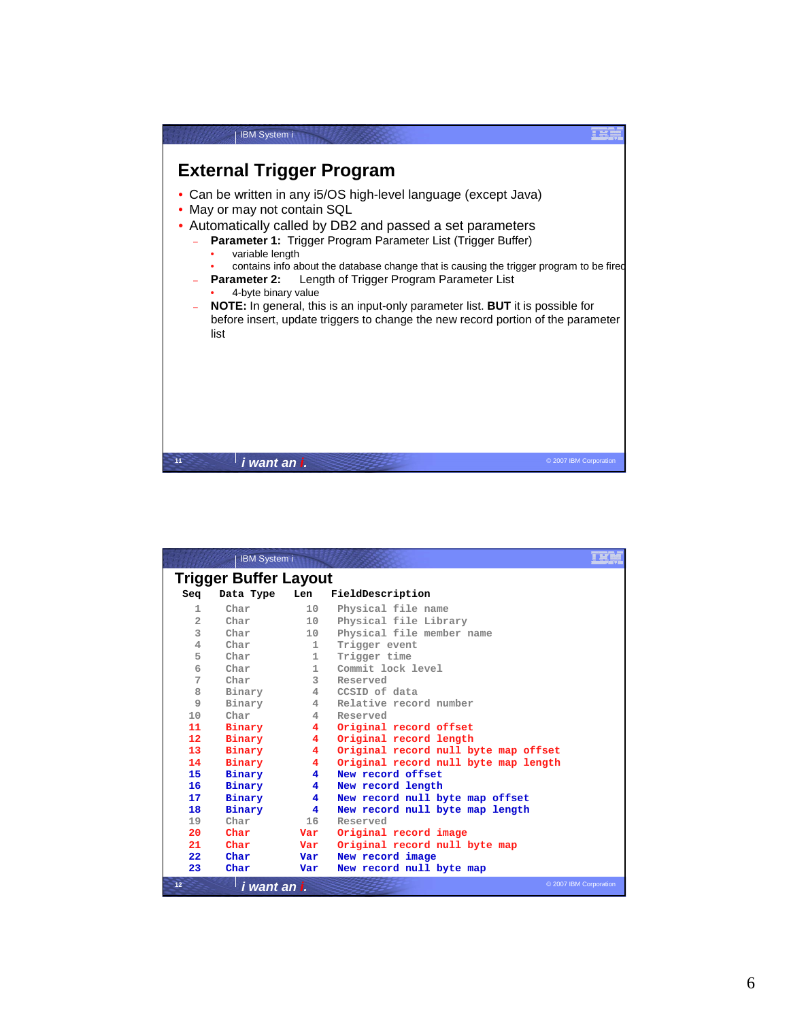

|                | <b>IBM System i</b>   |                |                                      |
|----------------|-----------------------|----------------|--------------------------------------|
|                | Trigger Buffer Layout |                |                                      |
| Seq            | Data Type             | Len            | FieldDescription                     |
| 1              | Char                  | 10             | Physical file name                   |
| $\overline{a}$ | Char                  | 10             | Physical file Library                |
| 3              | Char                  | 10             | Physical file member name            |
| $\overline{4}$ | Char                  | $\mathbf{1}$   | Trigger event                        |
| 5              | Char                  | $\mathbf{1}$   | Trigger time                         |
| 6              | Char                  | $\mathbf{1}$   | Commit lock level                    |
| 7              | Char                  | 3              | Reserved                             |
| 8              | Binary                | 4              | CCSID of data                        |
| $\overline{9}$ | Binary                | 4              | Relative record number               |
| 10             | Char                  | 4              | Reserved                             |
| 11             | Binary                | 4              | Original record offset               |
| 12             | Binary                | 4              | Original record length               |
| 13             | Binary                | $\overline{4}$ | Original record null byte map offset |
| 14             | Binary                | 4              | Original record null byte map length |
| 15             | Binary                | 4              | New record offset                    |
| 16             | Binary                | 4              | New record length                    |
| 17             | Binary                | 4              | New record null byte map offset      |
| 18             | Binary                | 4              | New record null byte map length      |
| 19             | Char                  | 16             | Reserved                             |
| 20             | Char                  | Var            | Original record image                |
| 21             | Char                  | Var            | Original record null byte map        |
| 22             | Char                  | Var            | New record image                     |
| 23             | Char                  | Var            | New record null byte map             |
| 12             | i want an i.          |                | © 2007 IBM Corporation               |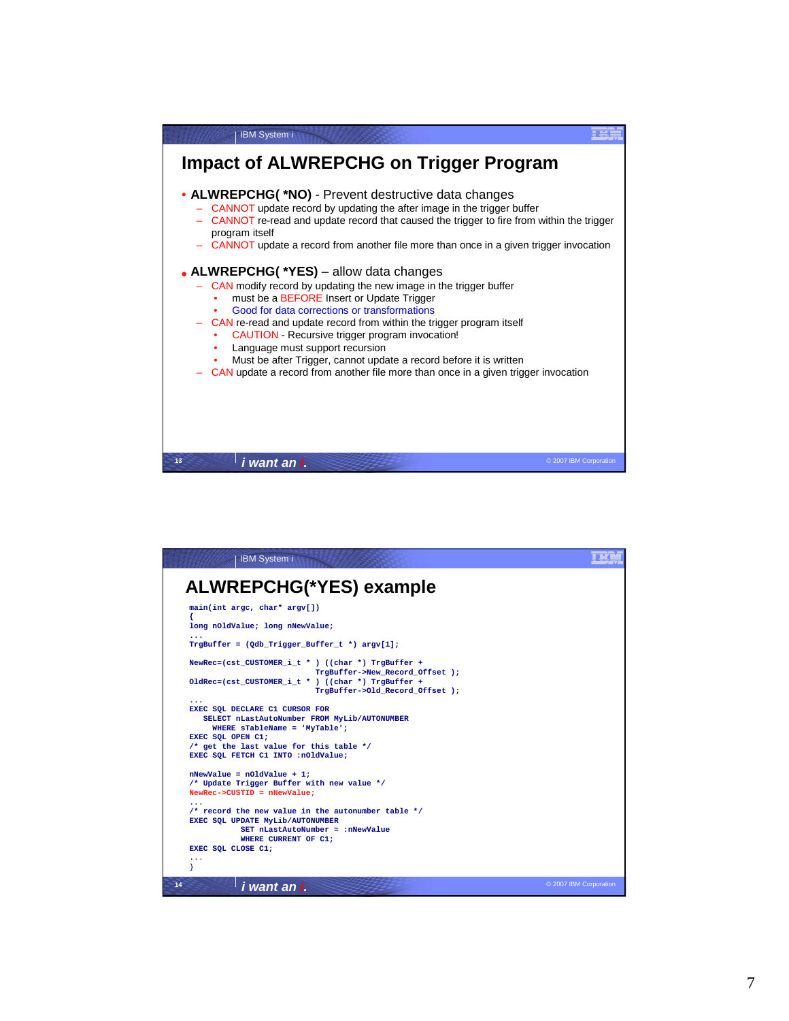

| <b>IBM System i</b>                                                                                                                                                                                   |                        |
|-------------------------------------------------------------------------------------------------------------------------------------------------------------------------------------------------------|------------------------|
| <b>ALWREPCHG(*YES) example</b>                                                                                                                                                                        |                        |
|                                                                                                                                                                                                       |                        |
| main(int argc, char* argv[])<br>₹                                                                                                                                                                     |                        |
| long nOldValue; long nNewValue;                                                                                                                                                                       |                        |
| $TrgBuffer = (Qdb_Trigger_Buffer_t * ) argv[1];$                                                                                                                                                      |                        |
| NewRec=(cst CUSTOMER i t * ) ((char *) TrgBuffer +<br>TrgBuffer->New Record Offset );<br>OldRec=(cst CUSTOMER i t * ) ((char *) TrgBuffer +<br>TrgBuffer->Old Record Offset );                        |                        |
| $\ddotsc$<br>EXEC SQL DECLARE C1 CURSOR FOR<br>SELECT nLastAutoNumber FROM MyLib/AUTONUMBER<br>WHERE sTableName = 'MyTable';                                                                          |                        |
| EXEC SQL OPEN C1;                                                                                                                                                                                     |                        |
| /* get the last value for this table $*/$<br>EXEC SQL FETCH C1 INTO : nOldValue;                                                                                                                      |                        |
| $n$ NewValue = $n$ OldValue + 1;<br>/* Update Trigger Buffer with new value */<br>$NewRec$ ->CUSTID = $nNewValue$ ;                                                                                   |                        |
| $\sim$ $\sim$ $\sim$<br>$/*$ record the new value in the autonumber table $*/$<br>EXEC SQL UPDATE MyLib/AUTONUMBER<br>SET nLastAutoNumber = : nNewValue<br>WHERE CURRENT OF C1:<br>EXEC SQL CLOSE C1; |                        |
| .                                                                                                                                                                                                     |                        |
| 14<br>i want an i.                                                                                                                                                                                    | © 2007 IBM Corporation |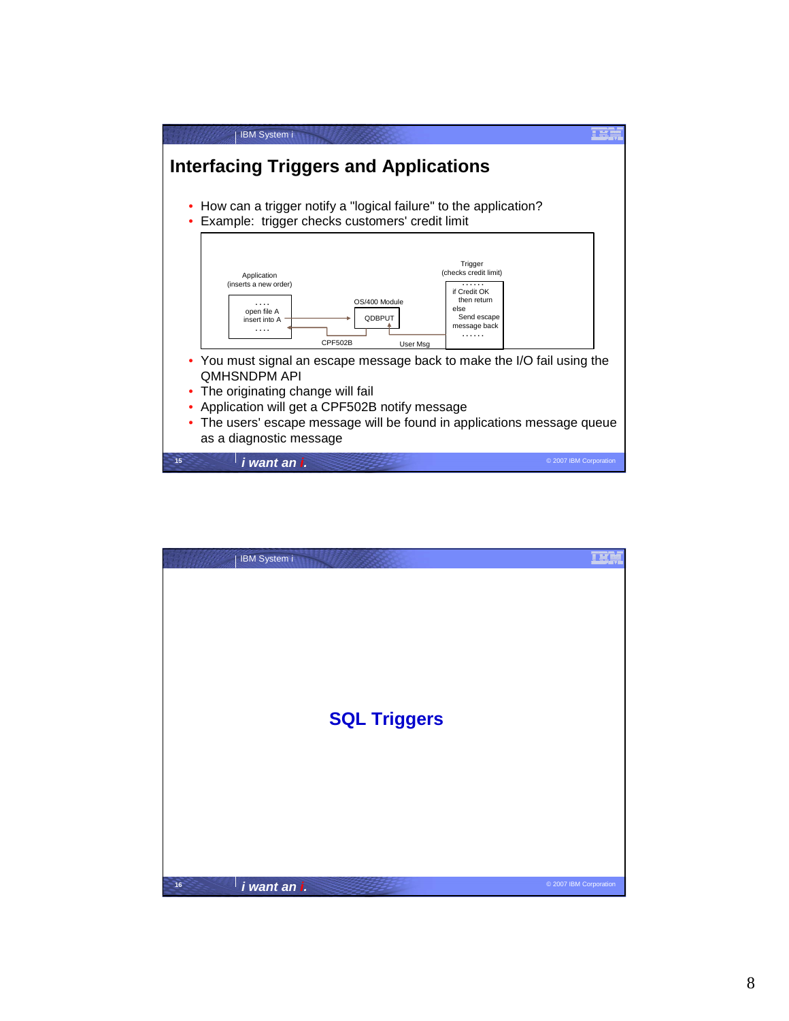

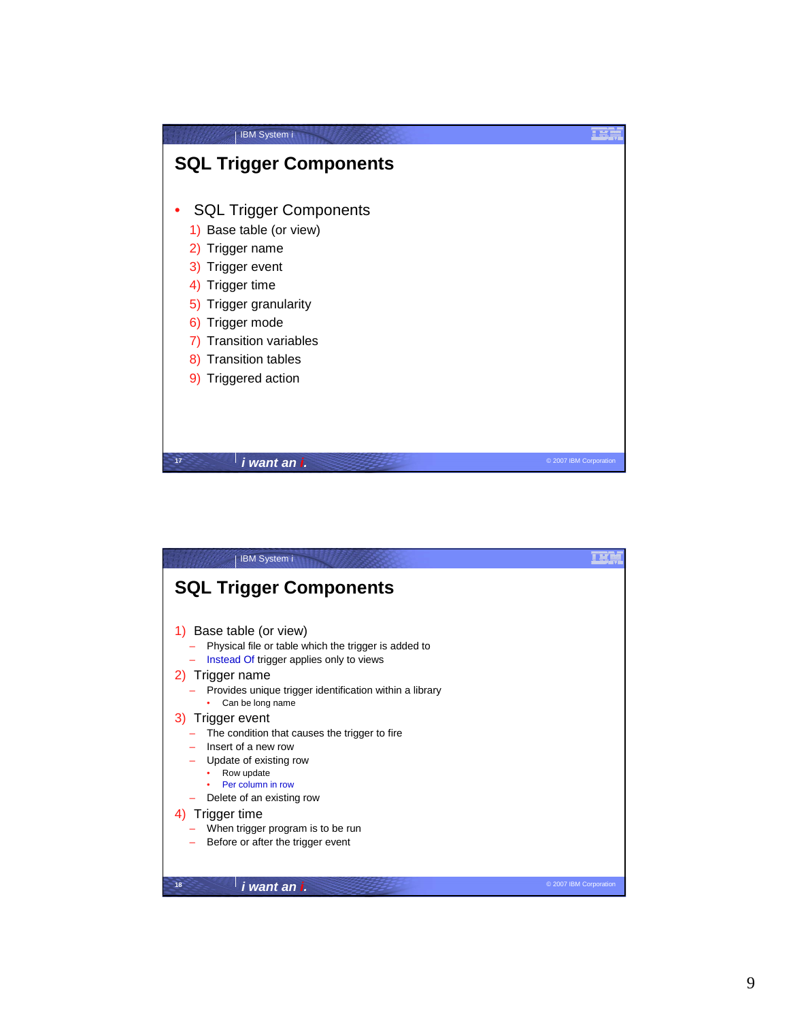

| <b>IBM System i</b>                                                                                                                                                                                                                                                                                                                                                                                                                                                                                           |                        |
|---------------------------------------------------------------------------------------------------------------------------------------------------------------------------------------------------------------------------------------------------------------------------------------------------------------------------------------------------------------------------------------------------------------------------------------------------------------------------------------------------------------|------------------------|
| <b>SQL Trigger Components</b>                                                                                                                                                                                                                                                                                                                                                                                                                                                                                 |                        |
| Base table (or view)<br>Physical file or table which the trigger is added to<br>Instead Of trigger applies only to views<br>2) Trigger name<br>Provides unique trigger identification within a library<br>Can be long name<br>Trigger event<br>3)<br>The condition that causes the trigger to fire<br>Insert of a new row<br>Update of existing row<br>Row update<br>Per column in row<br>Delete of an existing row<br>Trigger time<br>When trigger program is to be run<br>Before or after the trigger event |                        |
| 18<br>i want an i.                                                                                                                                                                                                                                                                                                                                                                                                                                                                                            | © 2007 IBM Corporation |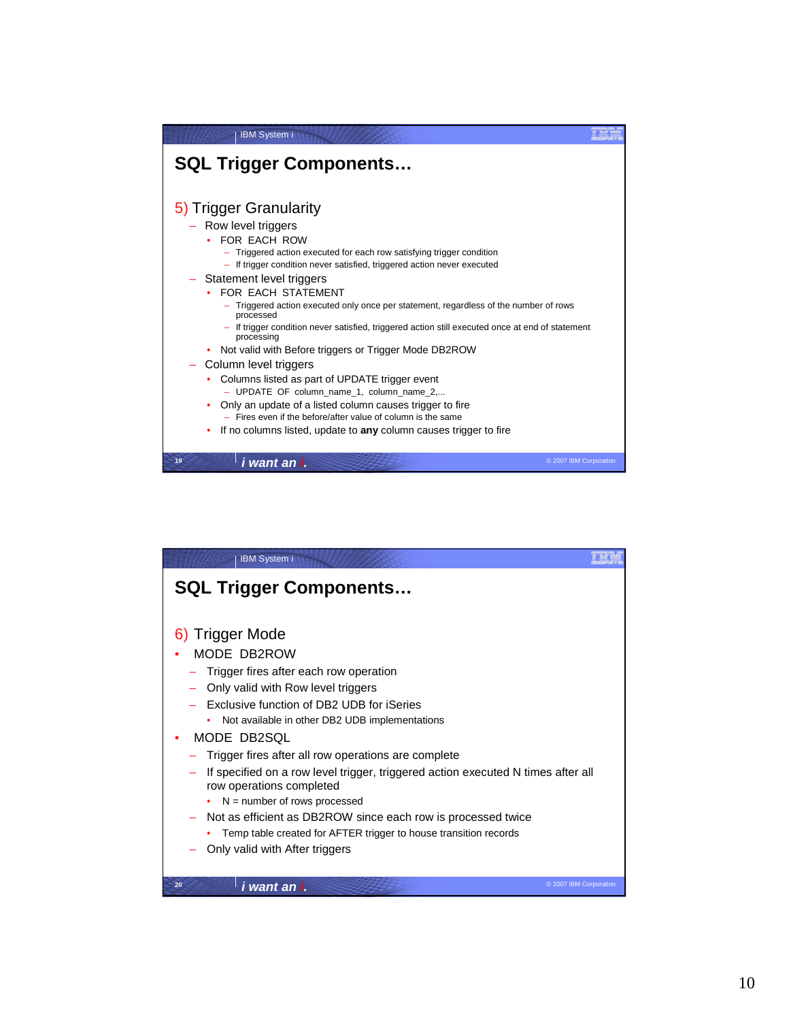| <b>IBM System i</b>                                                                                            |  |
|----------------------------------------------------------------------------------------------------------------|--|
| <b>SQL Trigger Components</b>                                                                                  |  |
| 5) Trigger Granularity                                                                                         |  |
| Row level triggers                                                                                             |  |
| FOR FACH ROW                                                                                                   |  |
| - Triggered action executed for each row satisfying trigger condition                                          |  |
| - If trigger condition never satisfied, triggered action never executed                                        |  |
| Statement level triggers                                                                                       |  |
| FOR EACH STATEMENT                                                                                             |  |
| - Triggered action executed only once per statement, regardless of the number of rows<br>processed             |  |
| - If trigger condition never satisfied, triggered action still executed once at end of statement<br>processing |  |
| • Not valid with Before triggers or Trigger Mode DB2ROW                                                        |  |
| Column level triggers                                                                                          |  |
| Columns listed as part of UPDATE trigger event<br>- UPDATE OF column name 1, column name 2                     |  |
| Only an update of a listed column causes trigger to fire                                                       |  |
| $-$ Fires even if the before/after value of column is the same                                                 |  |
| If no columns listed, update to any column causes trigger to fire                                              |  |
|                                                                                                                |  |
| 19<br>© 2007 IBM Corporation<br>i want an i.                                                                   |  |

| <b>IBM System i</b>                                                                                                                                                                                                                                                                                                                                                                                                                                                                                   |                        |
|-------------------------------------------------------------------------------------------------------------------------------------------------------------------------------------------------------------------------------------------------------------------------------------------------------------------------------------------------------------------------------------------------------------------------------------------------------------------------------------------------------|------------------------|
| <b>SQL Trigger Components</b>                                                                                                                                                                                                                                                                                                                                                                                                                                                                         |                        |
| 6) Trigger Mode<br>MODE DB2ROW<br>Trigger fires after each row operation<br>Only valid with Row level triggers<br>Exclusive function of DB2 UDB for iSeries<br>Not available in other DB2 UDB implementations<br>MODE DB2SQL<br>Trigger fires after all row operations are complete<br>If specified on a row level trigger, triggered action executed N times after all<br>row operations completed<br>$N =$ number of rows processed<br>Not as efficient as DB2ROW since each row is processed twice |                        |
| Temp table created for AFTER trigger to house transition records<br>Only valid with After triggers<br>20                                                                                                                                                                                                                                                                                                                                                                                              |                        |
| i want an i.                                                                                                                                                                                                                                                                                                                                                                                                                                                                                          | © 2007 IBM Corporation |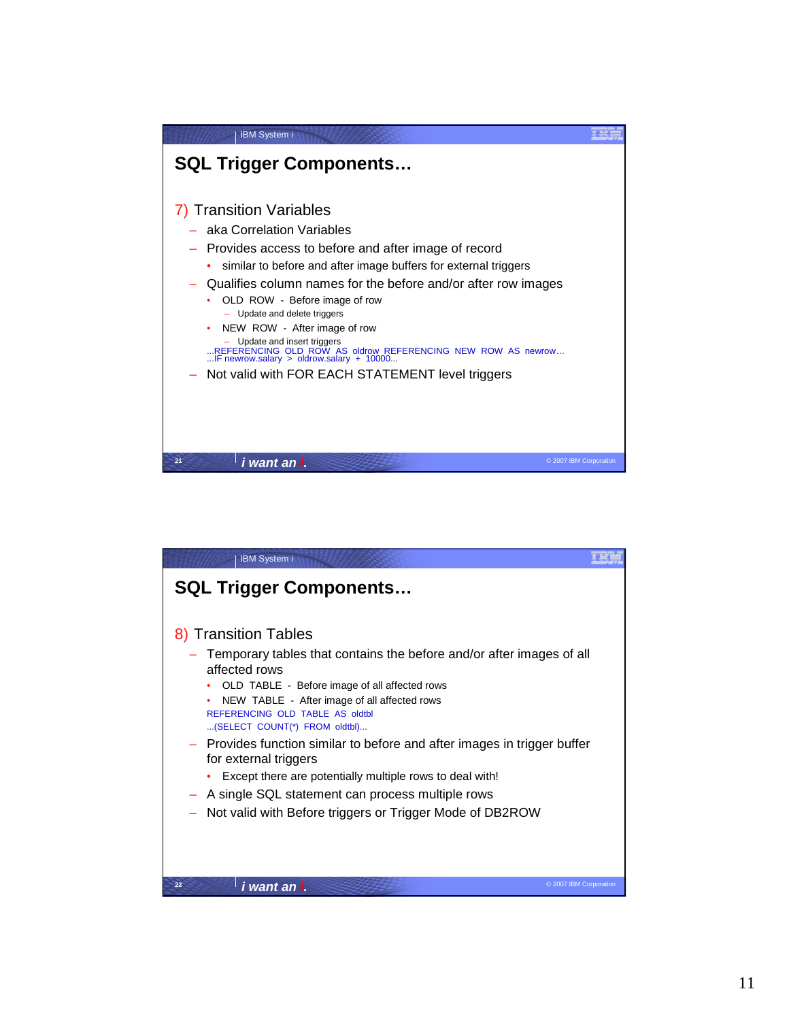

| <b>IBM System i</b>                                                                                                                                                                                                                                        |  |
|------------------------------------------------------------------------------------------------------------------------------------------------------------------------------------------------------------------------------------------------------------|--|
| <b>SQL Trigger Components</b>                                                                                                                                                                                                                              |  |
| 8) Transition Tables                                                                                                                                                                                                                                       |  |
| Temporary tables that contains the before and/or after images of all<br>affected rows<br>OLD TABLE - Before image of all affected rows<br>NEW TABLE - After image of all affected rows<br>REFERENCING OLD TABLE AS oldtbl<br>(SELECT COUNT(*) FROM oldtbl) |  |
| Provides function similar to before and after images in trigger buffer<br>for external triggers                                                                                                                                                            |  |
| Except there are potentially multiple rows to deal with!                                                                                                                                                                                                   |  |
| A single SQL statement can process multiple rows<br>Not valid with Before triggers or Trigger Mode of DB2ROW                                                                                                                                               |  |
| 22<br>i want an i.<br>© 2007 IBM Corporation                                                                                                                                                                                                               |  |
|                                                                                                                                                                                                                                                            |  |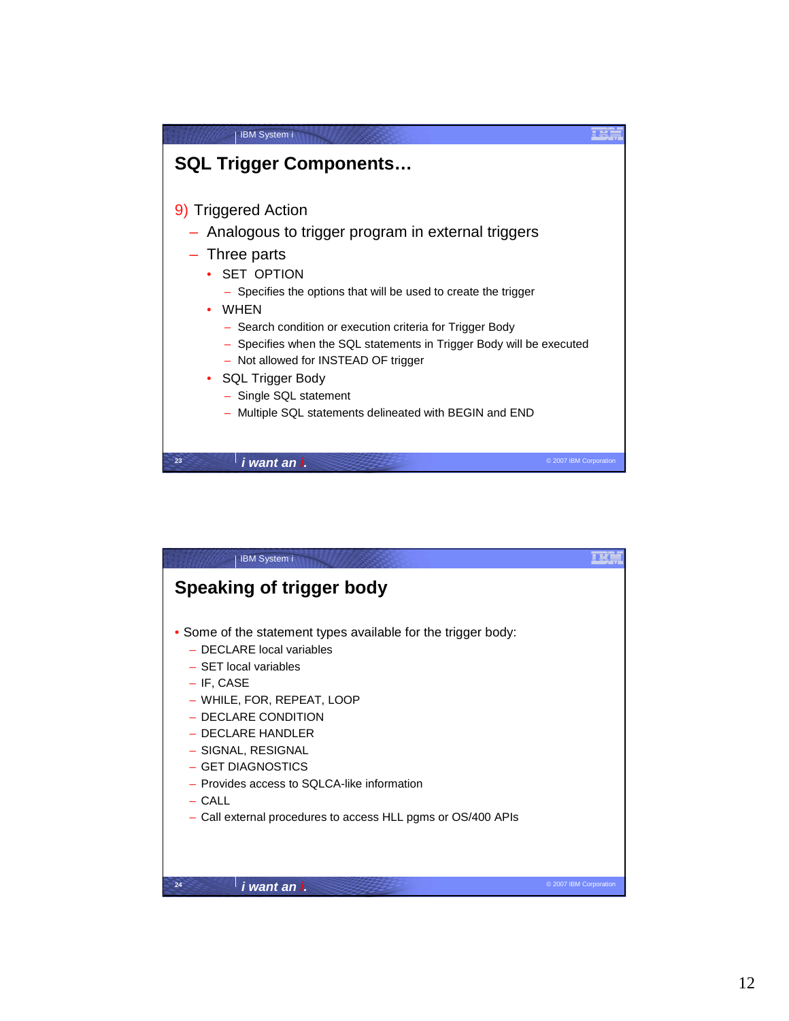| <b>IBM System i</b>                                                                                                                                                                                                                                                                                                                                                                                                                                                                                                      |  |
|--------------------------------------------------------------------------------------------------------------------------------------------------------------------------------------------------------------------------------------------------------------------------------------------------------------------------------------------------------------------------------------------------------------------------------------------------------------------------------------------------------------------------|--|
| <b>SQL Trigger Components</b>                                                                                                                                                                                                                                                                                                                                                                                                                                                                                            |  |
| 9) Triggered Action<br>Analogous to trigger program in external triggers<br>- Three parts<br>• SET OPTION<br>- Specifies the options that will be used to create the trigger<br>• WHEN<br>- Search condition or execution criteria for Trigger Body<br>Specifies when the SQL statements in Trigger Body will be executed<br>$\overline{\phantom{a}}$<br>- Not allowed for INSTEAD OF trigger<br><b>SQL Trigger Body</b><br>$\bullet$<br>- Single SQL statement<br>Multiple SQL statements delineated with BEGIN and END |  |
| 23<br>i want an i.<br>© 2007 IBM Corporation                                                                                                                                                                                                                                                                                                                                                                                                                                                                             |  |

| <b>IBM System i</b>                                                                                                                                                                                                                                                                                                                                                                 |                        |
|-------------------------------------------------------------------------------------------------------------------------------------------------------------------------------------------------------------------------------------------------------------------------------------------------------------------------------------------------------------------------------------|------------------------|
| Speaking of trigger body                                                                                                                                                                                                                                                                                                                                                            |                        |
| • Some of the statement types available for the trigger body:<br>- DECLARE local variables<br>- SET local variables<br>$-$ IF, CASE<br>- WHILE, FOR, REPEAT, LOOP<br>- DECLARE CONDITION<br>- DECLARE HANDLER<br>- SIGNAL, RESIGNAL<br>- GET DIAGNOSTICS<br>- Provides access to SQLCA-like information<br>$-$ CALL<br>- Call external procedures to access HLL pgms or OS/400 APIs |                        |
| 24<br>i want an i.                                                                                                                                                                                                                                                                                                                                                                  | © 2007 IBM Corporation |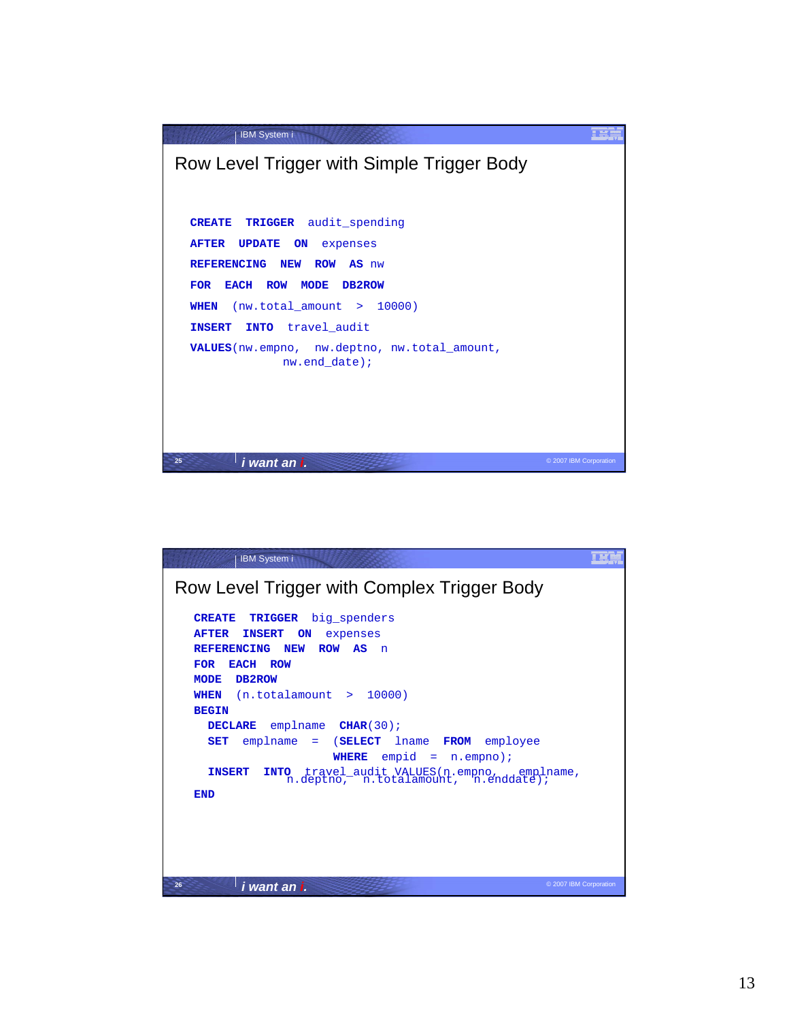

| <b>IBM System i</b>                                                                                                                                                                                                                                                                                                                                                                                                                                                                                                                                 |                        |
|-----------------------------------------------------------------------------------------------------------------------------------------------------------------------------------------------------------------------------------------------------------------------------------------------------------------------------------------------------------------------------------------------------------------------------------------------------------------------------------------------------------------------------------------------------|------------------------|
| Row Level Trigger with Complex Trigger Body                                                                                                                                                                                                                                                                                                                                                                                                                                                                                                         |                        |
| <b>TRIGGER</b><br>big spenders<br><b>CREATE</b><br><b>AFTER</b><br><b>INSERT</b><br>ON<br>expenses<br><b>REFERENCING</b><br><b>NEW</b><br>ROW AS<br>n<br><b>FOR</b><br>EACH ROW<br><b>MODE</b><br>DB2ROW<br>(n.total amount > 10000)<br>WHEN<br><b>BEGIN</b><br>emplname <b>CHAR</b> (30);<br><b>DECLARE</b><br>$emplane = (SELECT \quad \text{lname} \quad FROM \quad employee)$<br><b>SET</b><br>$empid = n.empno)$ ;<br>WHERE<br><b>INSERT</b><br>INTO travel_audit VALUES(n.empno, emplname, n.deptno, n.totalamount, n.enddate);<br><b>END</b> |                        |
| 26<br>i want an i.                                                                                                                                                                                                                                                                                                                                                                                                                                                                                                                                  | © 2007 IBM Corporation |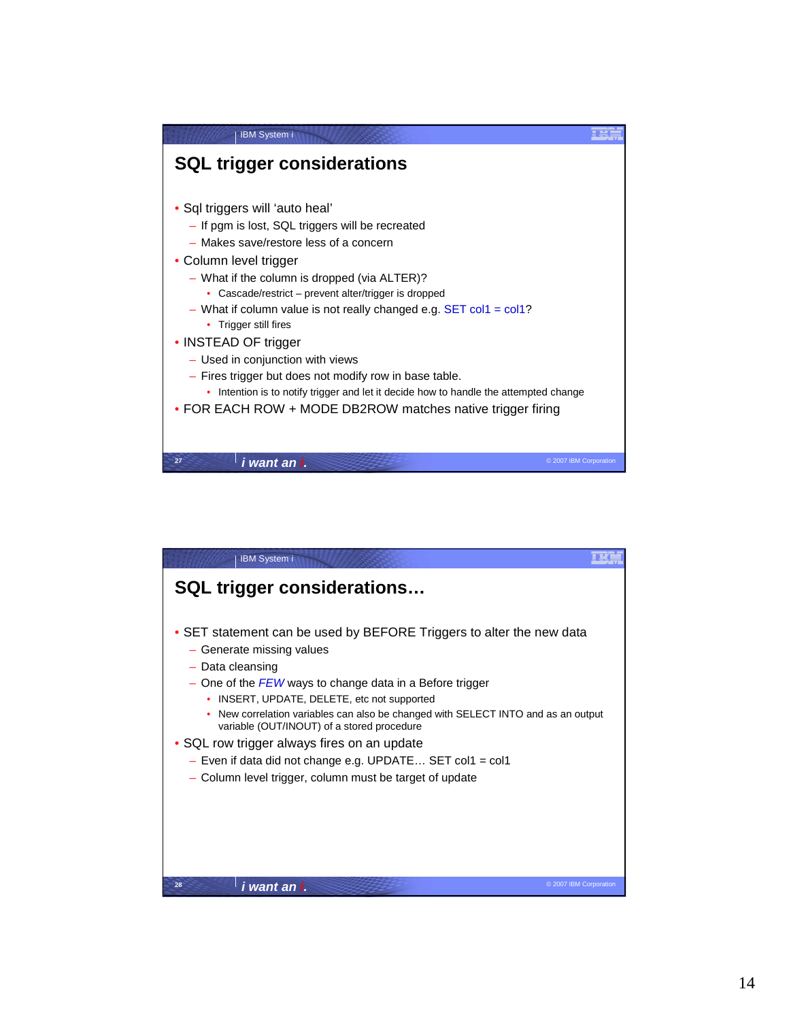

| <b>IBM System i</b>                                                                                                                |  |
|------------------------------------------------------------------------------------------------------------------------------------|--|
| <b>SQL trigger considerations</b>                                                                                                  |  |
| • SET statement can be used by BEFORE Triggers to alter the new data<br>- Generate missing values<br>$-$ Data cleansing            |  |
| - One of the FEW ways to change data in a Before trigger<br>INSERT, UPDATE, DELETE, etc not supported                              |  |
| New correlation variables can also be changed with SELECT INTO and as an output<br>٠<br>variable (OUT/INOUT) of a stored procedure |  |
| • SQL row trigger always fires on an update                                                                                        |  |
| - Even if data did not change e.g. UPDATE SET col1 = col1                                                                          |  |
| - Column level trigger, column must be target of update                                                                            |  |
|                                                                                                                                    |  |
| 28<br>i want an i.<br>© 2007 IBM Corporation                                                                                       |  |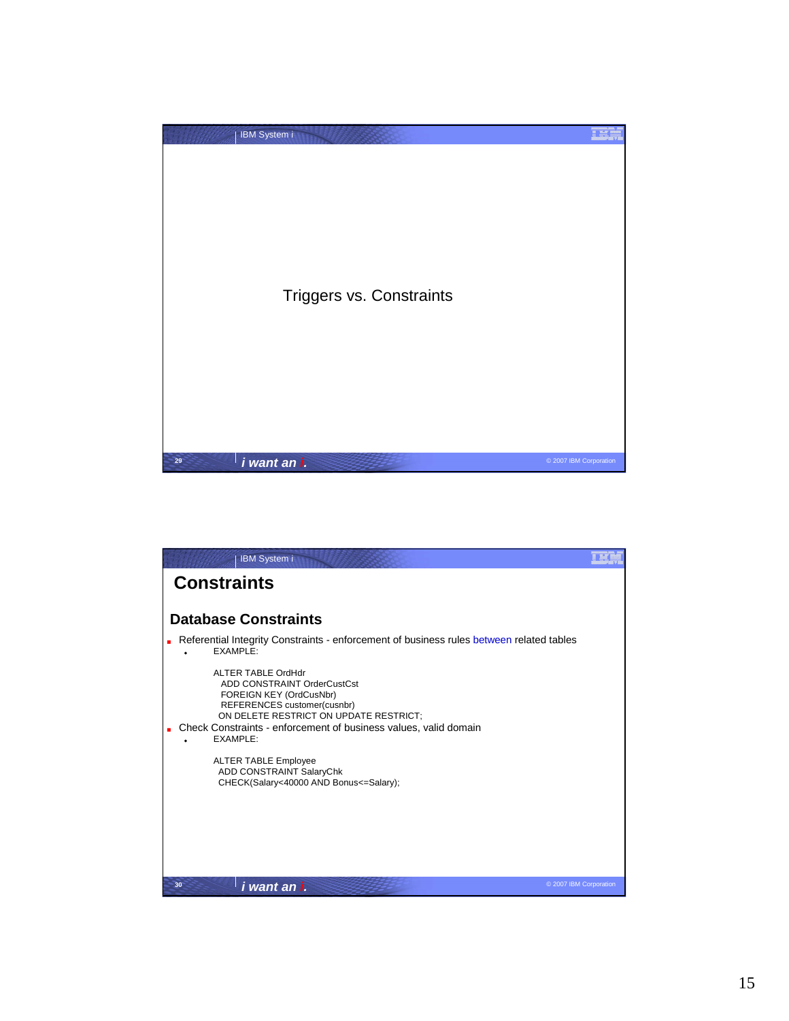

| <b>IBM System i</b>                                                                                                                                                                                                                   |                        |
|---------------------------------------------------------------------------------------------------------------------------------------------------------------------------------------------------------------------------------------|------------------------|
| <b>Constraints</b>                                                                                                                                                                                                                    |                        |
|                                                                                                                                                                                                                                       |                        |
| <b>Database Constraints</b>                                                                                                                                                                                                           |                        |
| Referential Integrity Constraints - enforcement of business rules between related tables<br>FXAMPI F                                                                                                                                  |                        |
| ALTER TABLE OrdHdr<br>ADD CONSTRAINT OrderCustCst<br>FOREIGN KEY (OrdCusNbr)<br>REFERENCES customer(cusnbr)<br>ON DELETE RESTRICT ON UPDATE RESTRICT;<br>Check Constraints - enforcement of business values, valid domain<br>EXAMPLE: |                        |
| <b>ALTER TABLE Employee</b><br>ADD CONSTRAINT SalaryChk<br>CHECK(Salary<40000 AND Bonus<=Salary);                                                                                                                                     |                        |
| i want an i.<br>30                                                                                                                                                                                                                    | © 2007 IBM Corporation |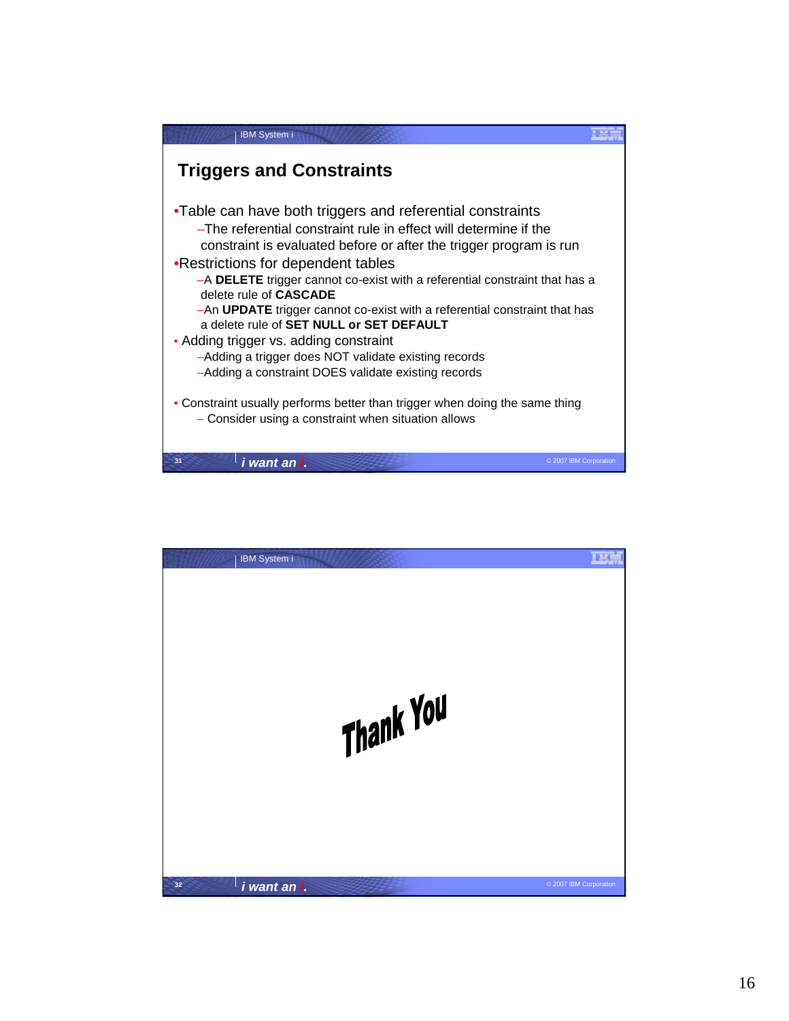

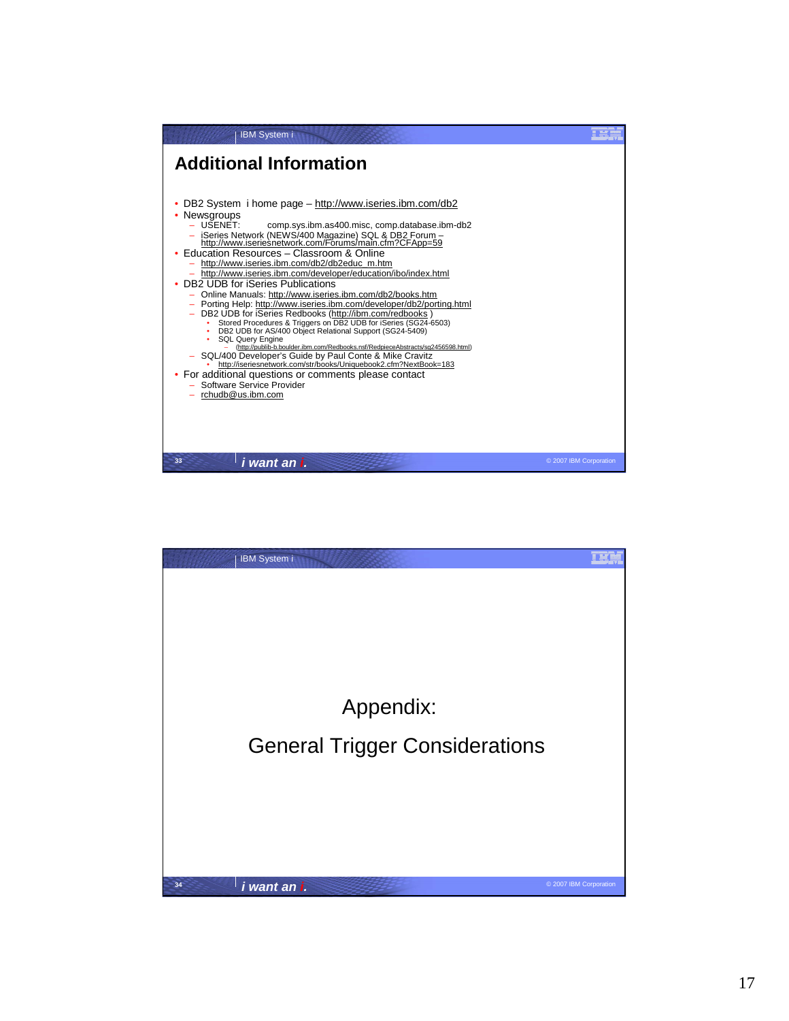

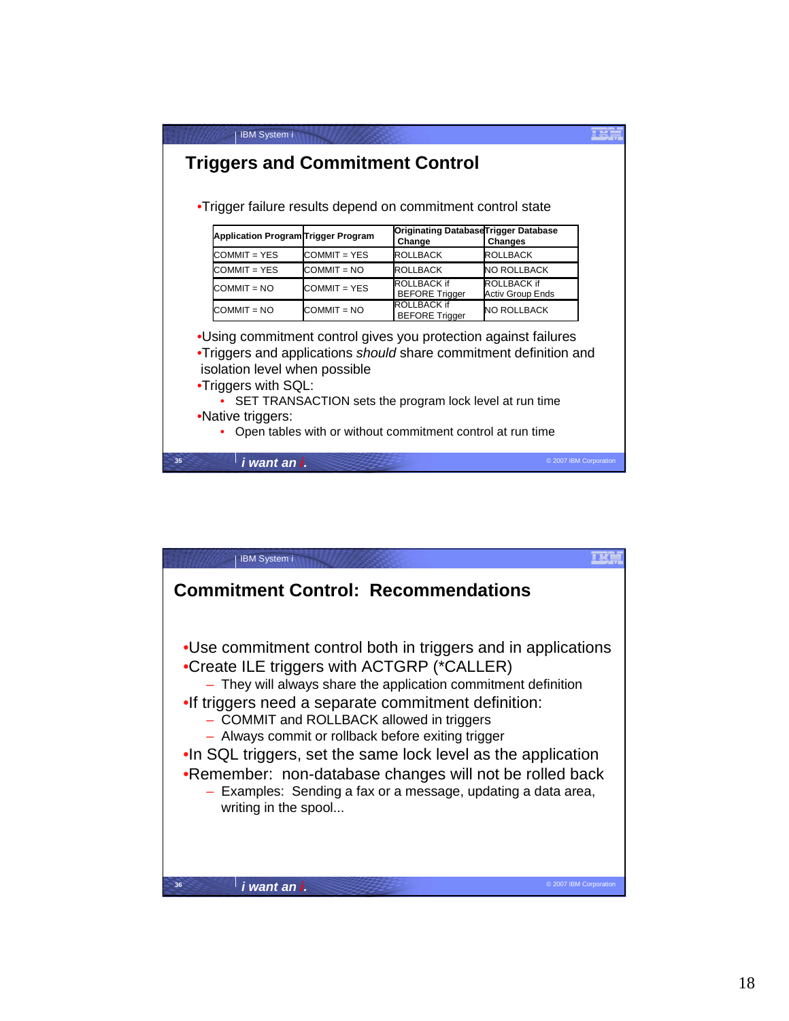| <b>IBM System i</b>                                                                                                                                                                                               |               |                                                            |                                                 |  |
|-------------------------------------------------------------------------------------------------------------------------------------------------------------------------------------------------------------------|---------------|------------------------------------------------------------|-------------------------------------------------|--|
| <b>Triggers and Commitment Control</b>                                                                                                                                                                            |               |                                                            |                                                 |  |
|                                                                                                                                                                                                                   |               |                                                            |                                                 |  |
| •Trigger failure results depend on commitment control state                                                                                                                                                       |               |                                                            |                                                 |  |
| Application Program Trigger Program                                                                                                                                                                               |               | Change                                                     | Originating DatabaseTrigger Database<br>Changes |  |
| $COMMIT = YFS$                                                                                                                                                                                                    | COMMIT = YES  | <b>ROLLBACK</b>                                            | ROLLBACK                                        |  |
| COMMIT = YES                                                                                                                                                                                                      | COMMIT = NO   | ROLLBACK                                                   | NO ROLLBACK                                     |  |
| $COMMIT = NO$                                                                                                                                                                                                     | COMMIT = YES  | ROLLBACK if<br><b>BEFORE Trigger</b>                       | <b>ROLLBACK if</b><br><b>Activ Group Ends</b>   |  |
| $COMMIT = NO$                                                                                                                                                                                                     | $COMMIT = NO$ | <b>ROLLBACK if</b><br><b>BEFORE Trigger</b>                | NO ROLLBACK                                     |  |
| •Using commitment control gives you protection against failures<br>•Triggers and applications should share commitment definition and<br>isolation level when possible<br>•Triggers with SQL:<br>•Native triggers: |               | SET TRANSACTION sets the program lock level at run time    |                                                 |  |
|                                                                                                                                                                                                                   |               | Open tables with or without commitment control at run time |                                                 |  |
| i want an i.                                                                                                                                                                                                      |               |                                                            | © 2007 IBM Corporation                          |  |

| <b>IBM System i</b>                                                                                                                                                                                                                                                                                                                                                                                                                                                                                                                                         |                        |
|-------------------------------------------------------------------------------------------------------------------------------------------------------------------------------------------------------------------------------------------------------------------------------------------------------------------------------------------------------------------------------------------------------------------------------------------------------------------------------------------------------------------------------------------------------------|------------------------|
| <b>Commitment Control: Recommendations</b>                                                                                                                                                                                                                                                                                                                                                                                                                                                                                                                  |                        |
| •Use commitment control both in triggers and in applications<br>•Create ILE triggers with ACTGRP (*CALLER)<br>- They will always share the application commitment definition<br>.If triggers need a separate commitment definition:<br>- COMMIT and ROLLBACK allowed in triggers<br>- Always commit or rollback before exiting trigger<br>. In SQL triggers, set the same lock level as the application<br>.Remember: non-database changes will not be rolled back<br>- Examples: Sending a fax or a message, updating a data area,<br>writing in the spool |                        |
|                                                                                                                                                                                                                                                                                                                                                                                                                                                                                                                                                             |                        |
| 36<br>i want an i.                                                                                                                                                                                                                                                                                                                                                                                                                                                                                                                                          | © 2007 IBM Corporation |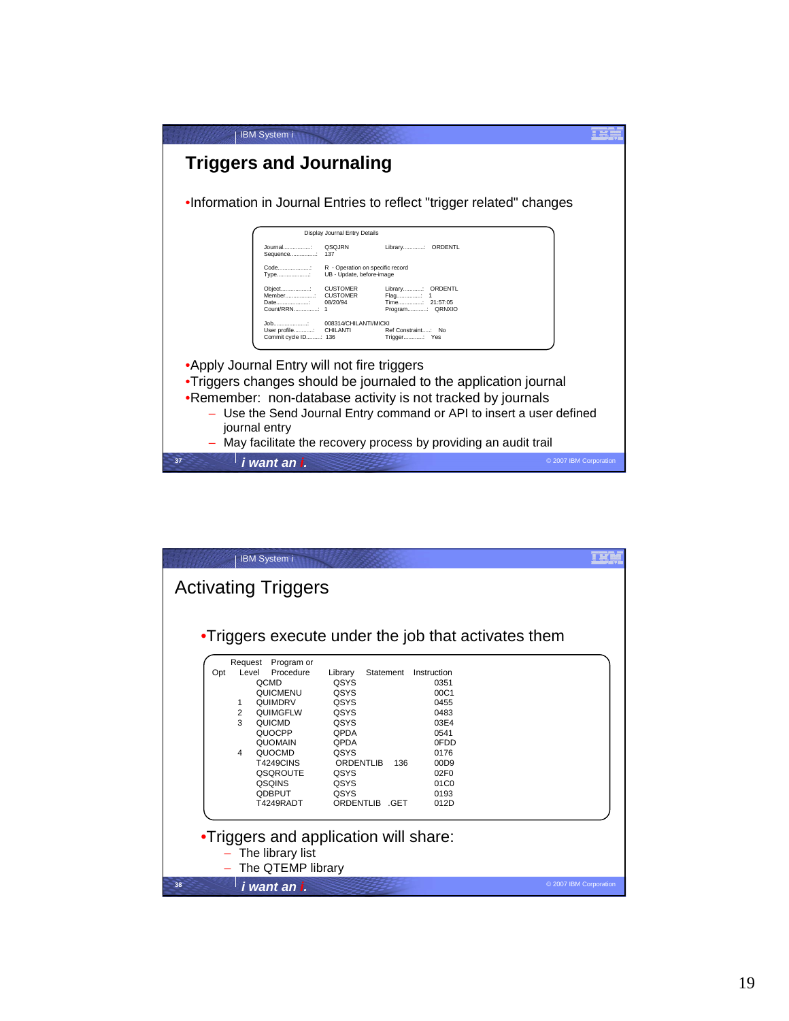| <b>IBM System i</b>                                                                                                                   |  |
|---------------------------------------------------------------------------------------------------------------------------------------|--|
| <b>Triggers and Journaling</b>                                                                                                        |  |
| .Information in Journal Entries to reflect "trigger related" changes                                                                  |  |
| Display Journal Entry Details                                                                                                         |  |
| QSQJRN<br>Library: ORDENTL<br>Journal:<br>Sequence: 137                                                                               |  |
| Code:<br>R - Operation on specific record<br>Type:<br>UB - Update, before-image                                                       |  |
| <b>CUSTOMER</b><br>Library: ORDENTL<br>Object:<br>Member CUSTOMER<br>Flag: 1<br>Date<br>08/20/94<br>Time: 21:57:05<br>Program: QRNXIO |  |
| 008314/CHILANTI/MICKI<br>Job:<br>Ref Constraint: No<br>User profile: CHILANTI<br>Commit cycle ID: 136<br>Trigger: Yes                 |  |
| •Apply Journal Entry will not fire triggers                                                                                           |  |
| •Triggers changes should be journaled to the application journal                                                                      |  |
| .Remember: non-database activity is not tracked by journals                                                                           |  |
| - Use the Send Journal Entry command or API to insert a user defined<br>journal entry                                                 |  |
| May facilitate the recovery process by providing an audit trail                                                                       |  |
| © 2007 IBM Corporation<br>37<br>i want an i.                                                                                          |  |

| •Triggers execute under the job that activates them                                                                                                                                                                                                                                         |                                                                                                                                                    |                                                                                                                                 |  |
|---------------------------------------------------------------------------------------------------------------------------------------------------------------------------------------------------------------------------------------------------------------------------------------------|----------------------------------------------------------------------------------------------------------------------------------------------------|---------------------------------------------------------------------------------------------------------------------------------|--|
| Request Program or<br>Level<br>Procedure<br>Opt<br><b>OCMD</b><br>QUICMENU<br>QUIMDRV<br>1<br>$\overline{2}$<br><b>QUIMGFLW</b><br>$\mathcal{R}$<br>QUICMD<br>QUOCPP<br><b>QUOMAIN</b><br>QUOCMD<br>4<br><b>T4249CINS</b><br><b>QSQROUTE</b><br><b>QSQINS</b><br><b>ODBPUT</b><br>T4249RADT | Library<br>Statement<br>QSYS<br>QSYS<br>QSYS<br>QSYS<br>QSYS<br>QPDA<br>QPDA<br>QSYS<br>ORDENTLIB<br>136<br>QSYS<br>QSYS<br>QSYS<br>ORDENTLIB .GET | Instruction<br>0351<br>00C1<br>0455<br>0483<br>03E4<br>0541<br>0FDD<br>0176<br>00D9<br>02F <sub>0</sub><br>01C0<br>0193<br>012D |  |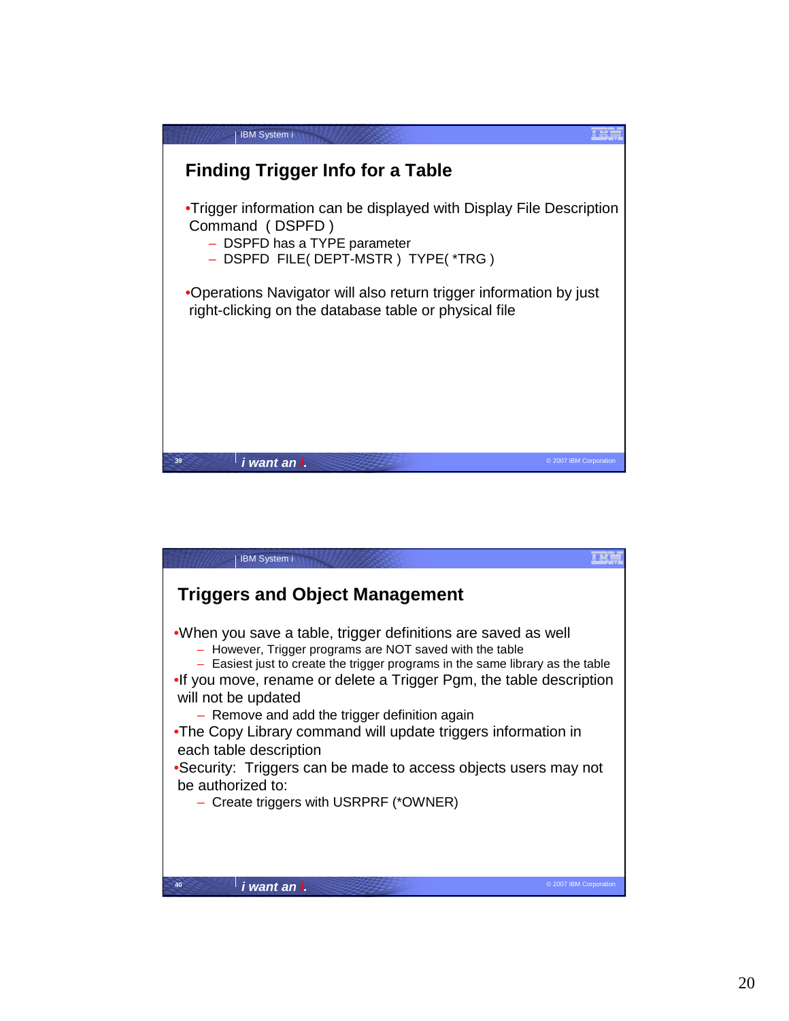